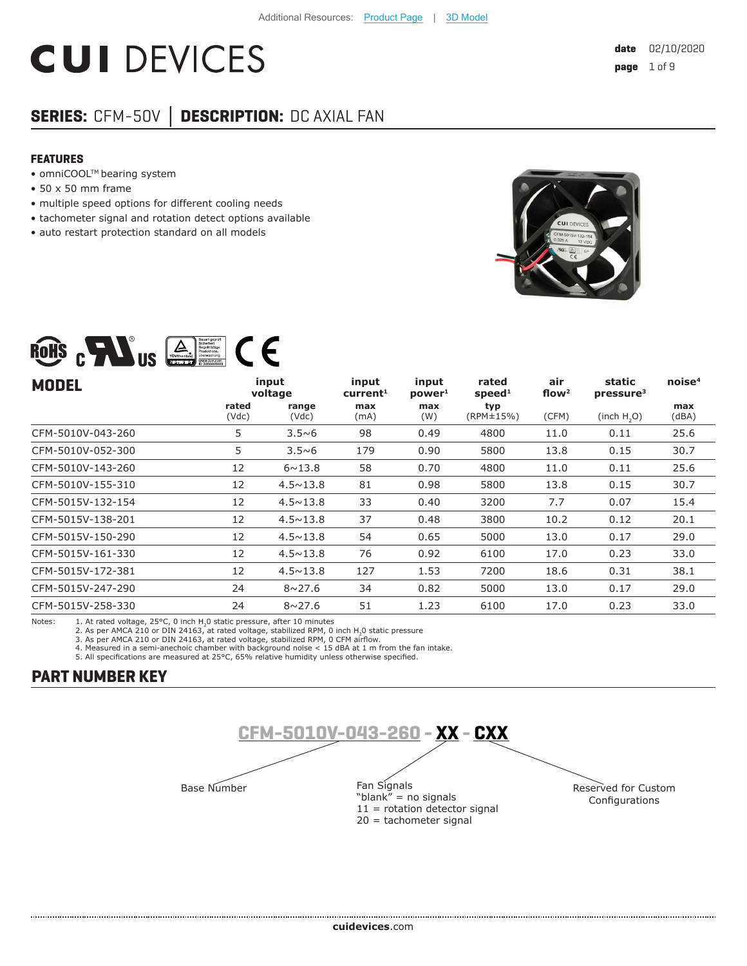# **CUI DEVICES**

# **SERIES:** CFM-50V **│ DESCRIPTION:** DC AXIAL FAN

Bauart geprüft<br>
Richarheit<br>
Regelmäßige

### **FEATURES**

• omniCOOL™ bearing system

 $\blacksquare$ 

- 50 x 50 mm frame
- multiple speed options for different cooling needs
- tachometer signal and rotation detect options available
- auto restart protection standard on all models



| $\mathbf{a}$<br>RoHS<br><b>US</b><br>ZERTIFIZIERT | Sicherheit<br>Regelmäßige<br>Produktions<br>überwachung<br>www.tuv.com<br>ID 2000000000 |                   |                               |                             |                             |                          |                                 |                    |
|---------------------------------------------------|-----------------------------------------------------------------------------------------|-------------------|-------------------------------|-----------------------------|-----------------------------|--------------------------|---------------------------------|--------------------|
| <b>MODEL</b>                                      |                                                                                         | input<br>voltage  | input<br>current <sup>1</sup> | input<br>power <sup>1</sup> | rated<br>speed <sup>1</sup> | air<br>flow <sup>2</sup> | static<br>pressure <sup>3</sup> | noise <sup>4</sup> |
|                                                   | rated<br>(Vdc)                                                                          | range<br>(Vdc)    | max<br>(mA)                   | max<br>(W)                  | typ<br>(RPM±15%)            | (CFM)                    | (inch H, O)                     | max<br>(dBA)       |
| CFM-5010V-043-260                                 | 5                                                                                       | $3.5\nu6$         | 98                            | 0.49                        | 4800                        | 11.0                     | 0.11                            | 25.6               |
| CFM-5010V-052-300                                 | 5                                                                                       | $3.5\nu 6$        | 179                           | 0.90                        | 5800                        | 13.8                     | 0.15                            | 30.7               |
| CFM-5010V-143-260                                 | 12                                                                                      | $6 \sim 13.8$     | 58                            | 0.70                        | 4800                        | 11.0                     | 0.11                            | 25.6               |
| CFM-5010V-155-310                                 | 12                                                                                      | $4.5 \times 13.8$ | 81                            | 0.98                        | 5800                        | 13.8                     | 0.15                            | 30.7               |
| CFM-5015V-132-154                                 | 12                                                                                      | $4.5 \times 13.8$ | 33                            | 0.40                        | 3200                        | 7.7                      | 0.07                            | 15.4               |
| CFM-5015V-138-201                                 | 12                                                                                      | $4.5 \times 13.8$ | 37                            | 0.48                        | 3800                        | 10.2                     | 0.12                            | 20.1               |
| CFM-5015V-150-290                                 | 12                                                                                      | $4.5 \times 13.8$ | 54                            | 0.65                        | 5000                        | 13.0                     | 0.17                            | 29.0               |
| CFM-5015V-161-330                                 | 12                                                                                      | $4.5 \times 13.8$ | 76                            | 0.92                        | 6100                        | 17.0                     | 0.23                            | 33.0               |
| CFM-5015V-172-381                                 | 12                                                                                      | $4.5 \times 13.8$ | 127                           | 1.53                        | 7200                        | 18.6                     | 0.31                            | 38.1               |
| CFM-5015V-247-290                                 | 24                                                                                      | $8 \sim 27.6$     | 34                            | 0.82                        | 5000                        | 13.0                     | 0.17                            | 29.0               |
| CFM-5015V-258-330                                 | 24                                                                                      | $8 \sim 27.6$     | 51                            | 1.23                        | 6100                        | 17.0                     | 0.23                            | 33.0               |
|                                                   |                                                                                         |                   |                               |                             |                             |                          |                                 |                    |

Notes: 1. At rated voltage, 25°C, 0 inch H<sub>2</sub>0 static pressure, after 10 minutes<br>2. As per AMCA 210 or DIN 24163, at rated voltage, stabilized RPM, 0 inch H<sub>2</sub>0 static pressure

3. As per AMCA 210 or DIN 24163, at rated voltage, stabilized RPM, 0 CFM airflow.<br>4. Measured in a semi-anechoic chamber with background noise < 15 dBA at 1 m from the fan intake.<br>5. All specifications are measured at 25°C

# **PART NUMBER KEY**

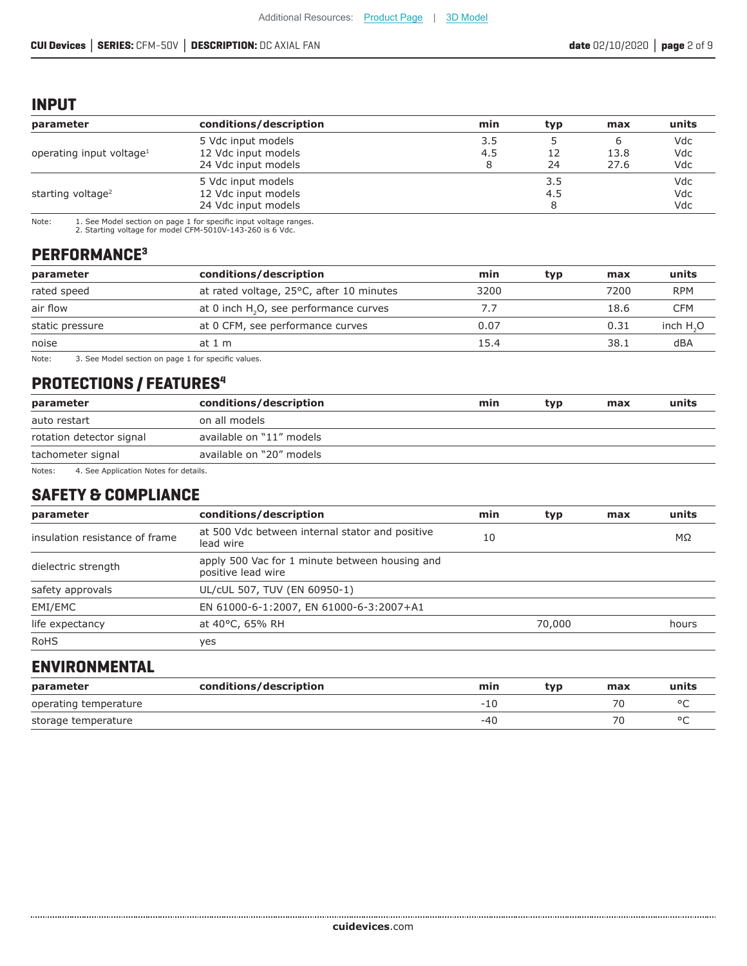### **INPUT**

| parameter                            | conditions/description                     | min      | typ | max          | units      |
|--------------------------------------|--------------------------------------------|----------|-----|--------------|------------|
|                                      | 5 Vdc input models                         | 3.5      |     | ь            | Vdc        |
| operating input voltage <sup>1</sup> | 12 Vdc input models<br>24 Vdc input models | 4.5<br>8 | 24  | 13.8<br>27.6 | Vdc<br>Vdc |
|                                      | 5 Vdc input models                         |          | 3.5 |              | Vdc        |
| starting voltage <sup>2</sup>        | 12 Vdc input models                        |          | 4.5 |              | Vdc        |
|                                      | 24 Vdc input models                        |          |     |              | Vdc        |

Note: 1. See Model section on page 1 for specific input voltage ranges. 2. Starting voltage for model CFM-5010V-143-260 is 6 Vdc.

# **PERFORMANCE3**

| parameter       | conditions/description                             | min  | typ | max  | units      |
|-----------------|----------------------------------------------------|------|-----|------|------------|
| rated speed     | at rated voltage, 25°C, after 10 minutes           | 3200 |     | 7200 | <b>RPM</b> |
| air flow        | at 0 inch H <sub>2</sub> O, see performance curves | 7.7  |     | 18.6 | CFM        |
| static pressure | at 0 CFM, see performance curves                   | 0.07 |     | 0.31 | inch $H2O$ |
| noise           | at 1 m                                             | 15.4 |     | 38.1 | dBA        |
| Note:           | 3. See Model section on nage 1 for specific values |      |     |      |            |

3. See Model section on page 1 for specific values.

# **PROTECTIONS / FEATURES4**

| parameter                | conditions/description   | min | typ | max | units |
|--------------------------|--------------------------|-----|-----|-----|-------|
| auto restart             | on all models            |     |     |     |       |
| rotation detector signal | available on "11" models |     |     |     |       |
| tachometer signal        | available on "20" models |     |     |     |       |

Notes: 4. See Application Notes for details.

# **SAFETY & COMPLIANCE**

| parameter                      | conditions/description                                               | min | typ    | max | units |
|--------------------------------|----------------------------------------------------------------------|-----|--------|-----|-------|
| insulation resistance of frame | at 500 Vdc between internal stator and positive<br>lead wire         | 10  |        |     | MΩ    |
| dielectric strength            | apply 500 Vac for 1 minute between housing and<br>positive lead wire |     |        |     |       |
| safety approvals               | UL/cUL 507, TUV (EN 60950-1)                                         |     |        |     |       |
| EMI/EMC                        | EN 61000-6-1:2007, EN 61000-6-3:2007+A1                              |     |        |     |       |
| life expectancy                | at 40°C, 65% RH                                                      |     | 70,000 |     | hours |
| <b>RoHS</b>                    | yes                                                                  |     |        |     |       |

# **ENVIRONMENTAL**

| parameter             | conditions/description | min    | tvo | max | units |
|-----------------------|------------------------|--------|-----|-----|-------|
| operating temperature |                        | $-111$ |     |     |       |
| storage temperature   |                        | -40    |     | 70  |       |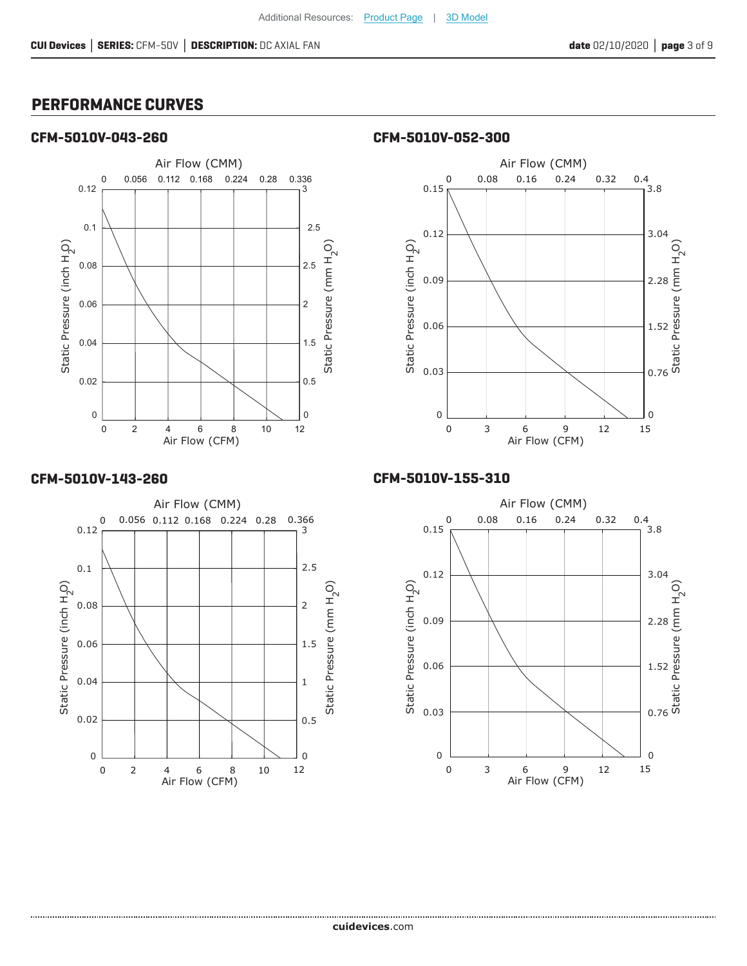# **PERFORMANCE CURVES**

### **CFM-5010V-043-260 CFM-5010V-052-300**





### **CFM-5010V-143-260**



### **CFM-5010V-155-310**

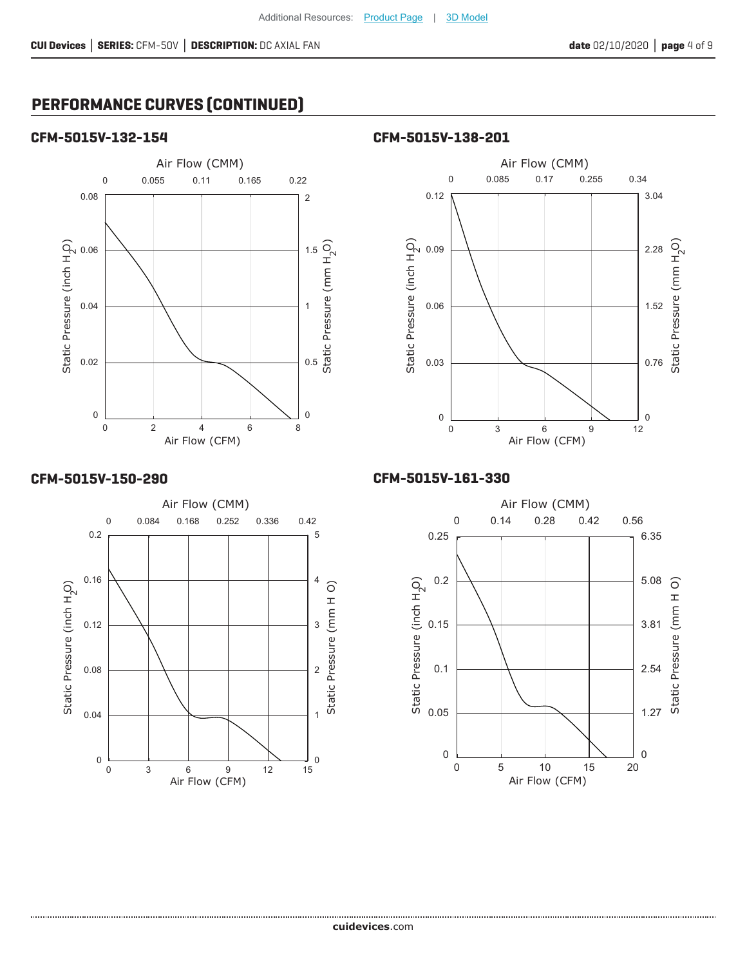# **PERFORMANCE CURVES (CONTINUED)**

### **CFM-5015V-132-154 CFM-5015V-138-201**





### **CFM-5015V-150-290**



### **CFM-5015V-161-330**

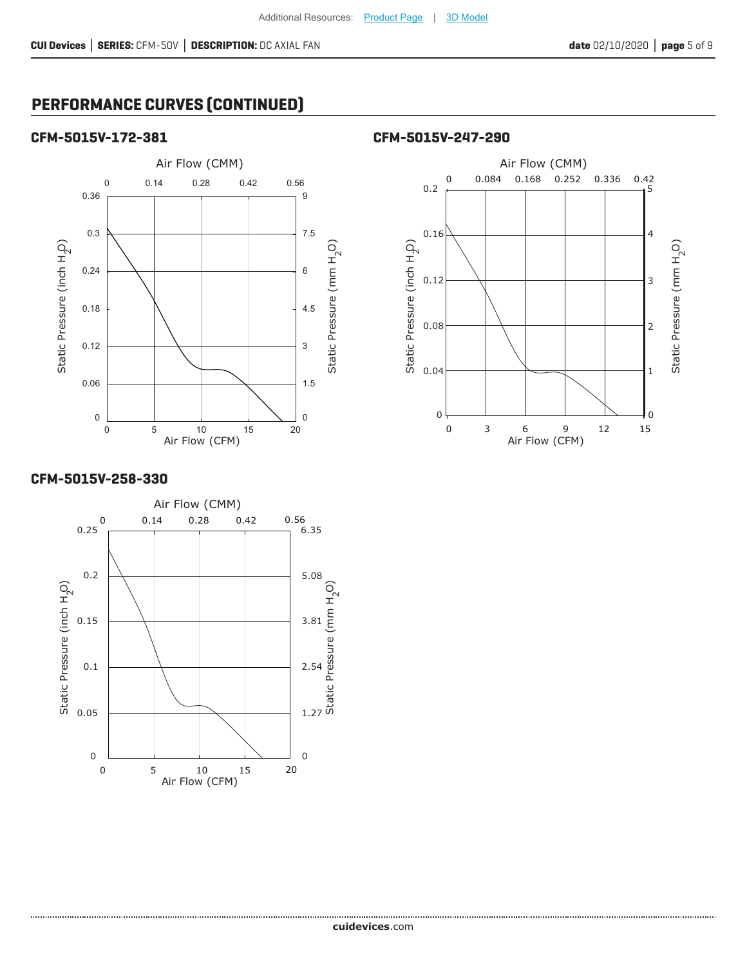# **PERFORMANCE CURVES (CONTINUED)**

### **CFM-5015V-172-381 CFM-5015V-247-290**





### **CFM-5015V-258-330**

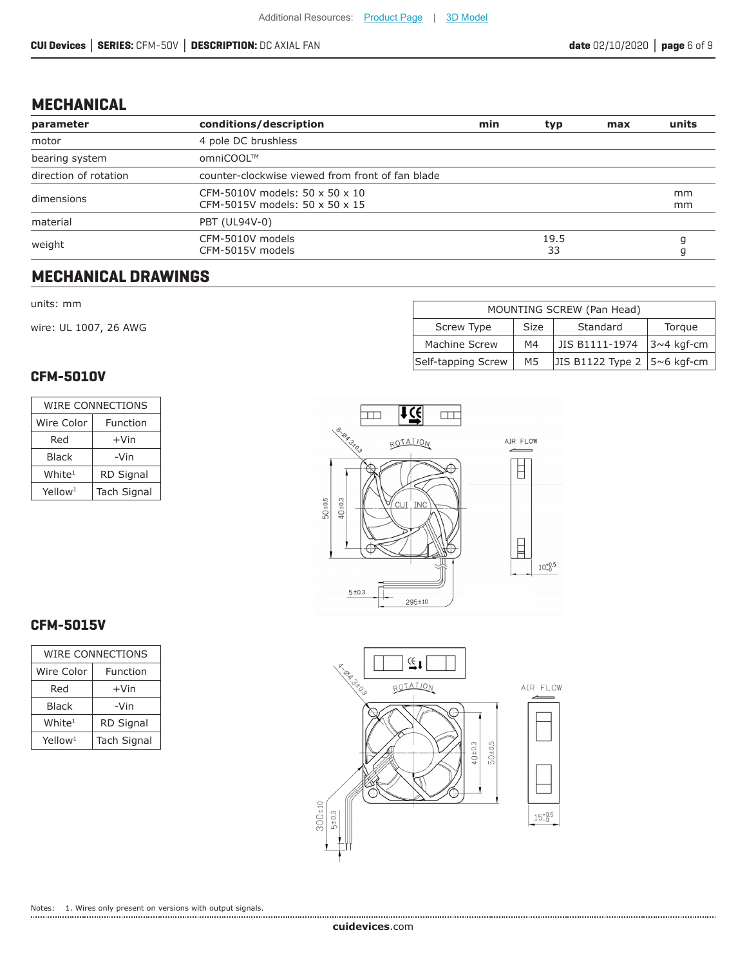# **MECHANICAL**

| parameter             | conditions/description                                           | min | typ        | max | units    |
|-----------------------|------------------------------------------------------------------|-----|------------|-----|----------|
| motor                 | 4 pole DC brushless                                              |     |            |     |          |
| bearing system        | omniCOOL™                                                        |     |            |     |          |
| direction of rotation | counter-clockwise viewed from front of fan blade                 |     |            |     |          |
| dimensions            | CFM-5010V models: 50 x 50 x 10<br>CFM-5015V models: 50 x 50 x 15 |     |            |     | mm<br>mm |
| material              | PBT (UL94V-0)                                                    |     |            |     |          |
| weight                | CFM-5010V models<br>CFM-5015V models                             |     | 19.5<br>33 |     |          |

# **MECHANICAL DRAWINGS**

#### units: mm

wire: UL 1007, 26 AWG

### **CFM-5010V**

| WIRE CONNECTIONS       |                    |  |  |
|------------------------|--------------------|--|--|
| Wire Color<br>Function |                    |  |  |
| Red                    | $+V$ in            |  |  |
| Black                  | -Vin               |  |  |
| White <sup>1</sup>     | <b>RD Signal</b>   |  |  |
| Yellow <sup>1</sup>    | <b>Tach Signal</b> |  |  |

| MOUNTING SCREW (Pan Head)                                  |    |                |              |  |  |
|------------------------------------------------------------|----|----------------|--------------|--|--|
| Standard<br>Screw Type<br>Size<br>Torque                   |    |                |              |  |  |
| Machine Screw                                              | M4 | JIS B1111-1974 | $3~4$ kgf-cm |  |  |
| JIS B1122 Type 2 $ 5~6$ kgf-cm<br>Self-tapping Screw<br>M5 |    |                |              |  |  |





# **CFM-5015V**

| WIRE CONNECTIONS    |                    |  |  |  |
|---------------------|--------------------|--|--|--|
| Wire Color          | Function           |  |  |  |
| Red                 | +Vin               |  |  |  |
| Black               | -Vin               |  |  |  |
| White <sup>1</sup>  | <b>RD Signal</b>   |  |  |  |
| Yellow <sup>1</sup> | <b>Tach Signal</b> |  |  |  |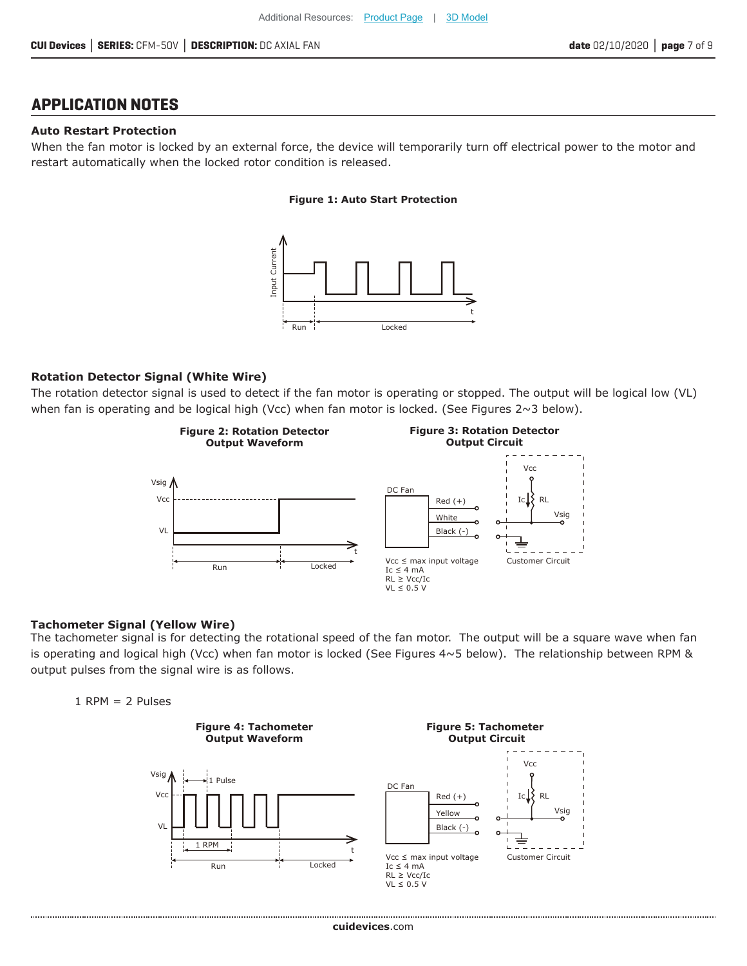# **APPLICATION NOTES**

### **Auto Restart Protection**

When the fan motor is locked by an external force, the device will temporarily turn off electrical power to the motor and restart automatically when the locked rotor condition is released.

#### **Figure 1: Auto Start Protection**



### **Rotation Detector Signal (White Wire)**

The rotation detector signal is used to detect if the fan motor is operating or stopped. The output will be logical low (VL) when fan is operating and be logical high (Vcc) when fan motor is locked. (See Figures 2~3 below).



### **Tachometer Signal (Yellow Wire)**

The tachometer signal is for detecting the rotational speed of the fan motor. The output will be a square wave when fan is operating and logical high (Vcc) when fan motor is locked (See Figures 4~5 below). The relationship between RPM & output pulses from the signal wire is as follows.



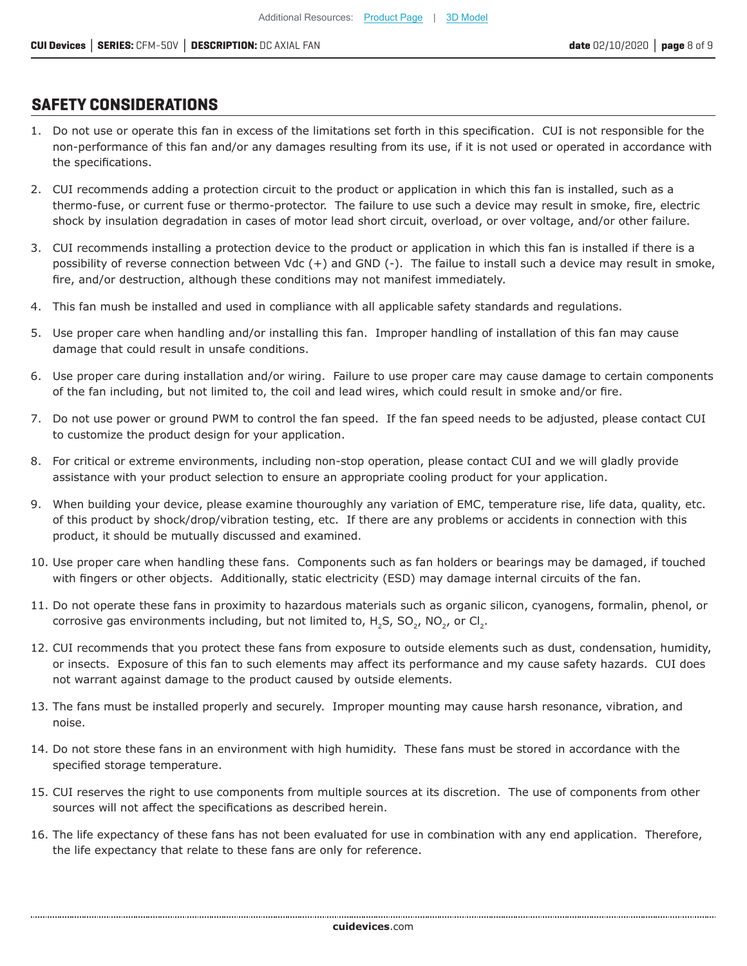# **SAFETY CONSIDERATIONS**

- 1. Do not use or operate this fan in excess of the limitations set forth in this specification. CUI is not responsible for the non-performance of this fan and/or any damages resulting from its use, if it is not used or operated in accordance with the specifications.
- 2. CUI recommends adding a protection circuit to the product or application in which this fan is installed, such as a thermo-fuse, or current fuse or thermo-protector. The failure to use such a device may result in smoke, fire, electric shock by insulation degradation in cases of motor lead short circuit, overload, or over voltage, and/or other failure.
- 3. CUI recommends installing a protection device to the product or application in which this fan is installed if there is a possibility of reverse connection between Vdc (+) and GND (-). The failue to install such a device may result in smoke, fire, and/or destruction, although these conditions may not manifest immediately.
- 4. This fan mush be installed and used in compliance with all applicable safety standards and regulations.
- 5. Use proper care when handling and/or installing this fan. Improper handling of installation of this fan may cause damage that could result in unsafe conditions.
- 6. Use proper care during installation and/or wiring. Failure to use proper care may cause damage to certain components of the fan including, but not limited to, the coil and lead wires, which could result in smoke and/or fire.
- 7. Do not use power or ground PWM to control the fan speed. If the fan speed needs to be adjusted, please contact CUI to customize the product design for your application.
- 8. For critical or extreme environments, including non-stop operation, please contact CUI and we will gladly provide assistance with your product selection to ensure an appropriate cooling product for your application.
- 9. When building your device, please examine thouroughly any variation of EMC, temperature rise, life data, quality, etc. of this product by shock/drop/vibration testing, etc. If there are any problems or accidents in connection with this product, it should be mutually discussed and examined.
- 10. Use proper care when handling these fans. Components such as fan holders or bearings may be damaged, if touched with fingers or other objects. Additionally, static electricity (ESD) may damage internal circuits of the fan.
- 11. Do not operate these fans in proximity to hazardous materials such as organic silicon, cyanogens, formalin, phenol, or corrosive gas environments including, but not limited to,  $H_2S$ ,  $SO_2$ , NO<sub>2</sub>, or Cl<sub>2</sub>.
- 12. CUI recommends that you protect these fans from exposure to outside elements such as dust, condensation, humidity, or insects. Exposure of this fan to such elements may affect its performance and my cause safety hazards. CUI does not warrant against damage to the product caused by outside elements.
- 13. The fans must be installed properly and securely. Improper mounting may cause harsh resonance, vibration, and noise.
- 14. Do not store these fans in an environment with high humidity. These fans must be stored in accordance with the specified storage temperature.
- 15. CUI reserves the right to use components from multiple sources at its discretion. The use of components from other sources will not affect the specifications as described herein.
- 16. The life expectancy of these fans has not been evaluated for use in combination with any end application. Therefore, the life expectancy that relate to these fans are only for reference.